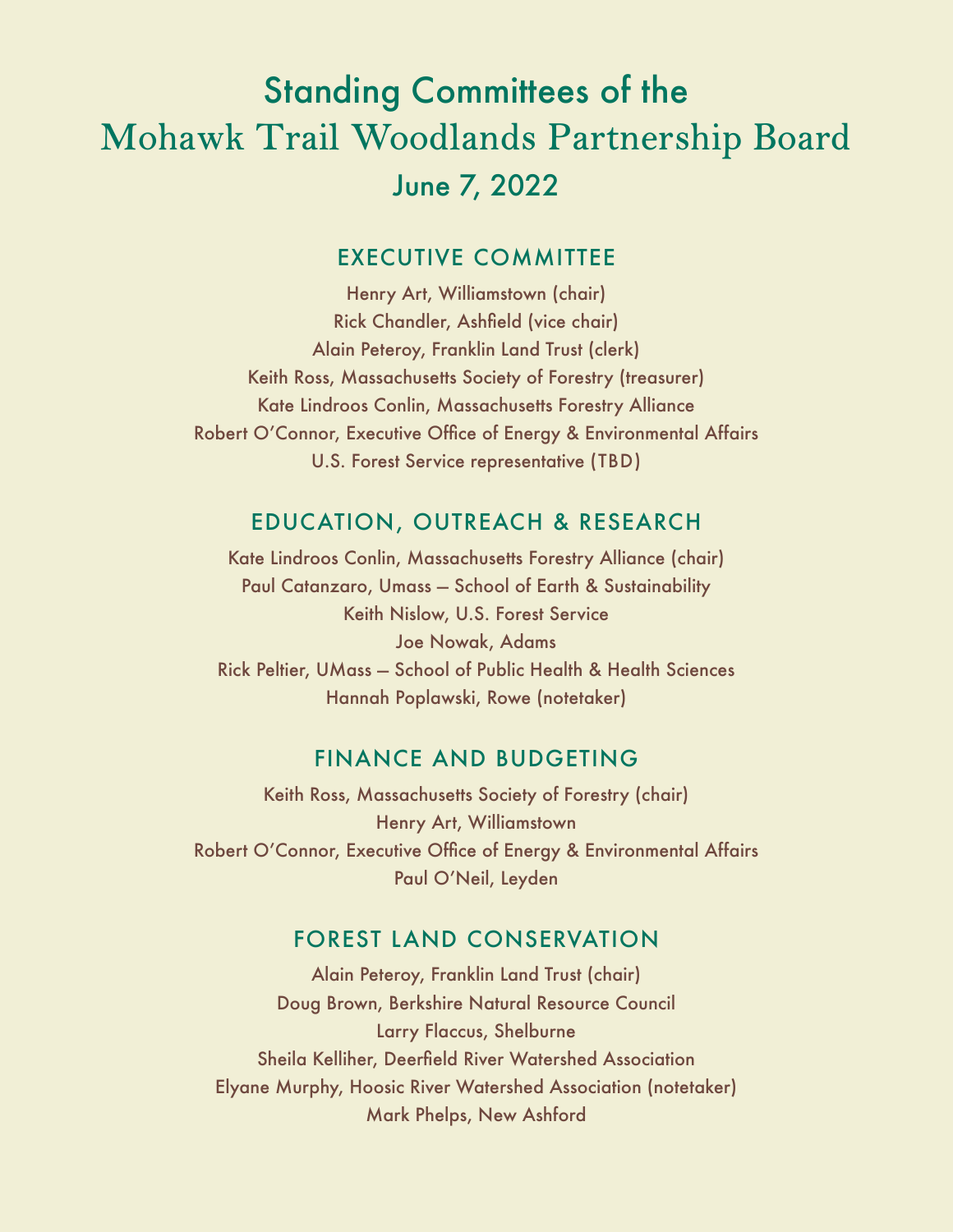# Standing Committees of the Mohawk Trail Woodlands Partnership Board June 7, 2022

### EXECUTIVE COMMITTEE

Henry Art, Williamstown (chair) Rick Chandler, Ashfield (vice chair) Alain Peteroy, Franklin Land Trust (clerk) Keith Ross, Massachusetts Society of Forestry (treasurer) Kate Lindroos Conlin, Massachusetts Forestry Alliance Robert O'Connor, Executive Office of Energy & Environmental Affairs U.S. Forest Service representative (TBD)

# EDUCATION, OUTREACH & RESEARCH

Kate Lindroos Conlin, Massachusetts Forestry Alliance (chair) Paul Catanzaro, Umass — School of Earth & Sustainability Keith Nislow, U.S. Forest Service Joe Nowak, Adams Rick Peltier, UMass — School of Public Health & Health Sciences Hannah Poplawski, Rowe (notetaker)

#### FINANCE AND BUDGETING

Keith Ross, Massachusetts Society of Forestry (chair) Henry Art, Williamstown Robert O'Connor, Executive Office of Energy & Environmental Affairs Paul O'Neil, Leyden

#### FOREST LAND CONSERVATION

Alain Peteroy, Franklin Land Trust (chair) Doug Brown, Berkshire Natural Resource Council Larry Flaccus, Shelburne Sheila Kelliher, Deerfield River Watershed Association Elyane Murphy, Hoosic River Watershed Association (notetaker) Mark Phelps, New Ashford